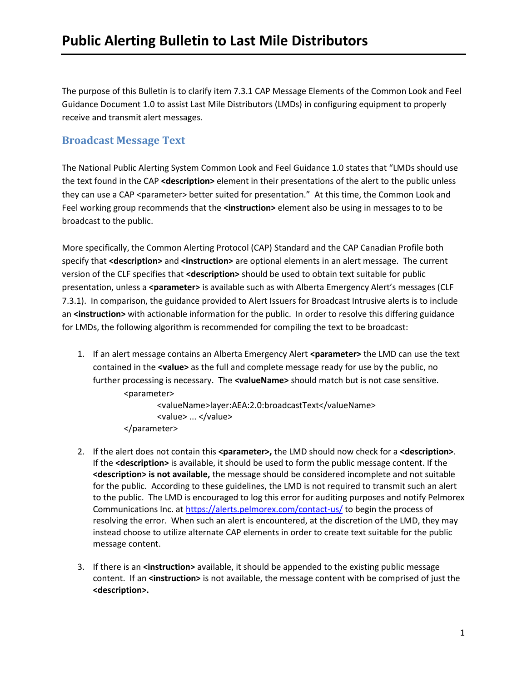The purpose of this Bulletin is to clarify item 7.3.1 CAP Message Elements of the Common Look and Feel Guidance Document 1.0 to assist Last Mile Distributors (LMDs) in configuring equipment to properly receive and transmit alert messages.

## **Broadcast Message Text**

The National Public Alerting System Common Look and Feel Guidance 1.0 states that "LMDs should use the text found in the CAP **<description>** element in their presentations of the alert to the public unless they can use a CAP <parameter> better suited for presentation." At this time, the Common Look and Feel working group recommends that the **<instruction>** element also be using in messages to to be broadcast to the public.

More specifically, the Common Alerting Protocol (CAP) Standard and the CAP Canadian Profile both specify that **<description>** and **<instruction>** are optional elements in an alert message. The current version of the CLF specifies that **<description>** should be used to obtain text suitable for public presentation, unless a **<parameter>** is available such as with Alberta Emergency Alert's messages (CLF 7.3.1). In comparison, the guidance provided to Alert Issuers for Broadcast Intrusive alerts is to include an **<instruction>** with actionable information for the public. In order to resolve this differing guidance for LMDs, the following algorithm is recommended for compiling the text to be broadcast:

1. If an alert message contains an Alberta Emergency Alert **<parameter>** the LMD can use the text contained in the **<value>** as the full and complete message ready for use by the public, no further processing is necessary. The **<valueName>** should match but is not case sensitive. <parameter>

> <valueName>layer:AEA:2.0:broadcastText</valueName> <value> ... </value> </parameter>

- 2. If the alert does not contain this **<parameter>,** the LMD should now check for a **<description>**. If the **<description>** is available, it should be used to form the public message content. If the **<description> is not available,** the message should be considered incomplete and not suitable for the public. According to these guidelines, the LMD is not required to transmit such an alert to the public. The LMD is encouraged to log this error for auditing purposes and notify Pelmorex Communications Inc. a[t https://alerts.pelmorex.com/contact-us/](https://alerts.pelmorex.com/contact-us/) to begin the process of resolving the error. When such an alert is encountered, at the discretion of the LMD, they may instead choose to utilize alternate CAP elements in order to create text suitable for the public message content.
- 3. If there is an **<instruction>** available, it should be appended to the existing public message content. If an **<instruction>** is not available, the message content with be comprised of just the **<description>.**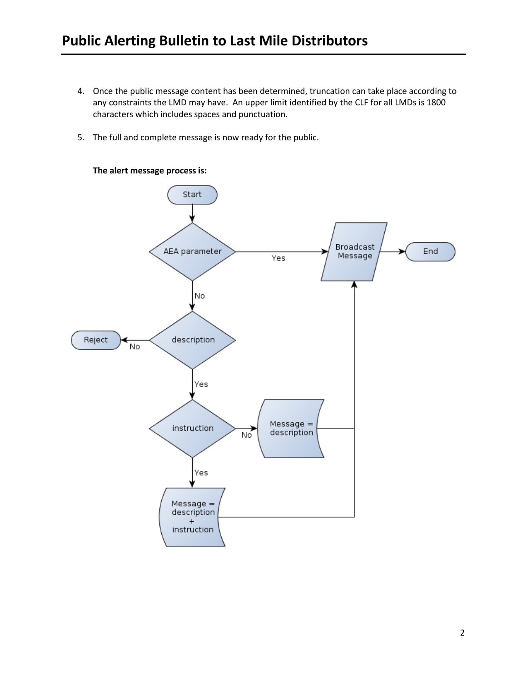- 4. Once the public message content has been determined, truncation can take place according to any constraints the LMD may have. An upper limit identified by the CLF for all LMDs is 1800 characters which includes spaces and punctuation.
- 5. The full and complete message is now ready for the public.



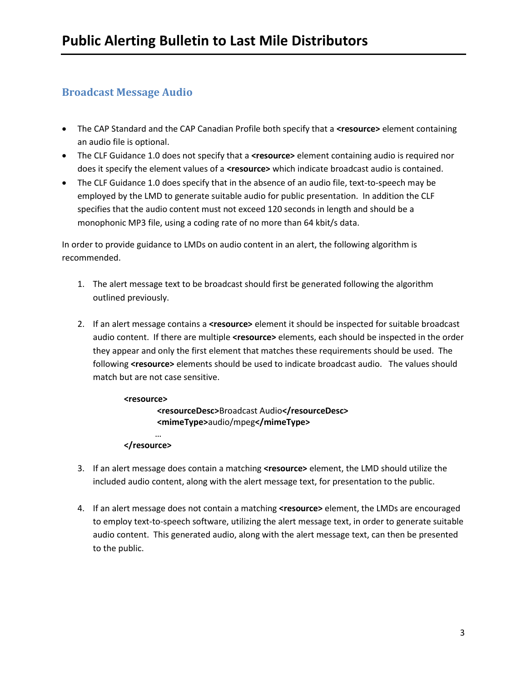## **Broadcast Message Audio**

- The CAP Standard and the CAP Canadian Profile both specify that a **<resource>** element containing an audio file is optional.
- The CLF Guidance 1.0 does not specify that a **<resource>** element containing audio is required nor does it specify the element values of a **<resource>** which indicate broadcast audio is contained.
- The CLF Guidance 1.0 does specify that in the absence of an audio file, text-to-speech may be employed by the LMD to generate suitable audio for public presentation. In addition the CLF specifies that the audio content must not exceed 120 seconds in length and should be a monophonic MP3 file, using a coding rate of no more than 64 kbit/s data.

In order to provide guidance to LMDs on audio content in an alert, the following algorithm is recommended.

- 1. The alert message text to be broadcast should first be generated following the algorithm outlined previously.
- 2. If an alert message contains a **<resource>** element it should be inspected for suitable broadcast audio content. If there are multiple **<resource>** elements, each should be inspected in the order they appear and only the first element that matches these requirements should be used. The following **<resource>** elements should be used to indicate broadcast audio. The values should match but are not case sensitive.

**<resource> <resourceDesc>**Broadcast Audio**</resourceDesc> <mimeType>**audio/mpeg**</mimeType>** …

## **</resource>**

- 3. If an alert message does contain a matching **<resource>** element, the LMD should utilize the included audio content, along with the alert message text, for presentation to the public.
- 4. If an alert message does not contain a matching **<resource>** element, the LMDs are encouraged to employ text-to-speech software, utilizing the alert message text, in order to generate suitable audio content. This generated audio, along with the alert message text, can then be presented to the public.